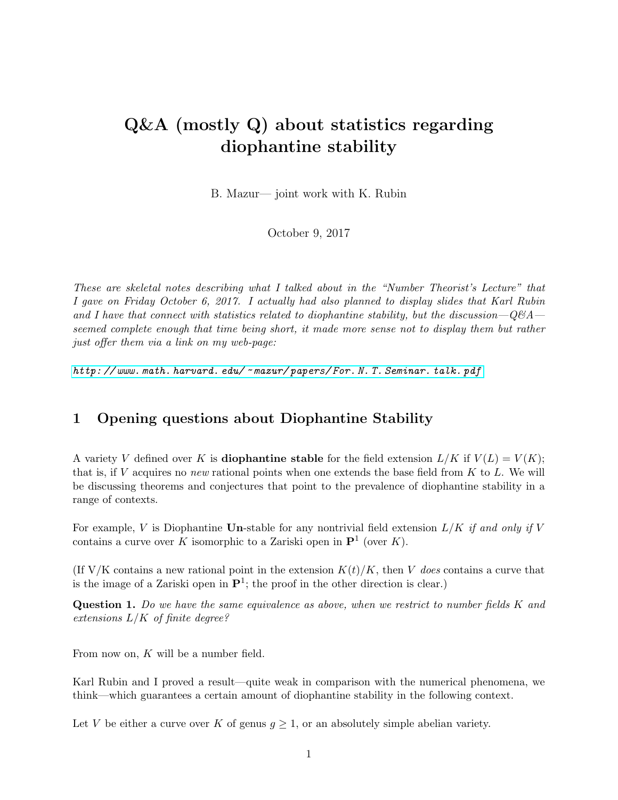# <span id="page-0-0"></span>Q&A (mostly Q) about statistics regarding diophantine stability

B. Mazur— joint work with K. Rubin

October 9, 2017

These are skeletal notes describing what I talked about in the "Number Theorist's Lecture" that I gave on Friday October 6, 2017. I actually had also planned to display slides that Karl Rubin and I have that connect with statistics related to diophantine stability, but the discussion— $Q\&A$  seemed complete enough that time being short, it made more sense not to display them but rather just offer them via a link on my web-page:

http: // www. math. harvard. edu/ ~ [mazur/ papers/ For. N. T. Seminar. talk. pdf](http://www.math.harvard.edu/~mazur/papers/For.N.T.Seminar.talk.pdf)

## 1 Opening questions about Diophantine Stability

A variety V defined over K is **diophantine stable** for the field extension  $L/K$  if  $V(L) = V(K)$ ; that is, if  $V$  acquires no new rational points when one extends the base field from  $K$  to  $L$ . We will be discussing theorems and conjectures that point to the prevalence of diophantine stability in a range of contexts.

For example, V is Diophantine Un-stable for any nontrivial field extension  $L/K$  if and only if V contains a curve over K isomorphic to a Zariski open in  $\mathbf{P}^1$  (over K).

(If V/K contains a new rational point in the extension  $K(t)/K$ , then V does contains a curve that is the image of a Zariski open in  $\mathbf{P}^1$ ; the proof in the other direction is clear.)

Question 1. Do we have the same equivalence as above, when we restrict to number fields K and extensions  $L/K$  of finite degree?

From now on, K will be a number field.

Karl Rubin and I proved a result—quite weak in comparison with the numerical phenomena, we think—which guarantees a certain amount of diophantine stability in the following context.

Let V be either a curve over K of genus  $g \geq 1$ , or an absolutely simple abelian variety.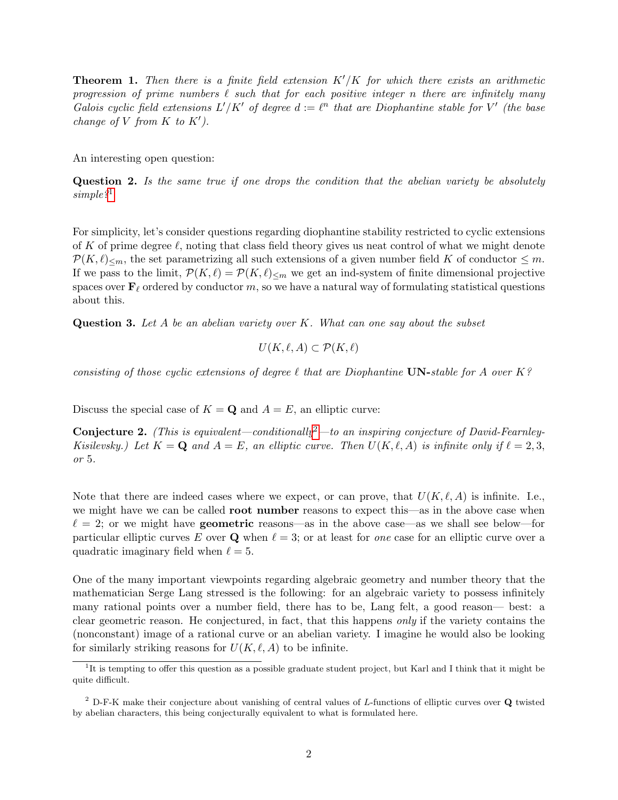**Theorem 1.** Then there is a finite field extension  $K'/K$  for which there exists an arithmetic progression of prime numbers  $\ell$  such that for each positive integer n there are infinitely many Galois cyclic field extensions  $L'/K'$  of degree  $d := \ell^n$  that are Diophantine stable for V' (the base change of V from  $K$  to  $K'$ ).

An interesting open question:

Question 2. Is the same true if one drops the condition that the abelian variety be absolutely simple?<sup>[1](#page-1-0)</sup>

For simplicity, let's consider questions regarding diophantine stability restricted to cyclic extensions of K of prime degree  $\ell$ , noting that class field theory gives us neat control of what we might denote  $\mathcal{P}(K, \ell)_{\leq m}$ , the set parametrizing all such extensions of a given number field K of conductor  $\leq m$ . If we pass to the limit,  $\mathcal{P}(K,\ell) = \mathcal{P}(K,\ell)_{\leq m}$  we get an ind-system of finite dimensional projective spaces over  $\mathbf{F}_{\ell}$  ordered by conductor m, so we have a natural way of formulating statistical questions about this.

**Question 3.** Let A be an abelian variety over K. What can one say about the subset

$$
U(K, \ell, A) \subset \mathcal{P}(K, \ell)
$$

consisting of those cyclic extensions of degree  $\ell$  that are Diophantine UN-stable for A over K?

Discuss the special case of  $K = \mathbf{Q}$  and  $A = E$ , an elliptic curve:

**Conjecture [2](#page-1-1).** (This is equivalent—conditionally<sup>2</sup>—to an inspiring conjecture of David-Fearnley-Kisilevsky.) Let  $K = \mathbf{Q}$  and  $A = E$ , an elliptic curve. Then  $U(K, \ell, A)$  is infinite only if  $\ell = 2, 3$ , or 5.

Note that there are indeed cases where we expect, or can prove, that  $U(K, \ell, A)$  is infinite. I.e., we might have we can be called root number reasons to expect this—as in the above case when  $\ell = 2$ ; or we might have **geometric** reasons—as in the above case—as we shall see below—for particular elliptic curves E over Q when  $\ell = 3$ ; or at least for one case for an elliptic curve over a quadratic imaginary field when  $\ell = 5$ .

One of the many important viewpoints regarding algebraic geometry and number theory that the mathematician Serge Lang stressed is the following: for an algebraic variety to possess infinitely many rational points over a number field, there has to be, Lang felt, a good reason— best: a clear geometric reason. He conjectured, in fact, that this happens only if the variety contains the (nonconstant) image of a rational curve or an abelian variety. I imagine he would also be looking for similarly striking reasons for  $U(K, \ell, A)$  to be infinite.

<span id="page-1-0"></span><sup>&</sup>lt;sup>1</sup>It is tempting to offer this question as a possible graduate student project, but Karl and I think that it might be quite difficult.

<span id="page-1-1"></span><sup>2</sup> D-F-K make their conjecture about vanishing of central values of L-functions of elliptic curves over Q twisted by abelian characters, this being conjecturally equivalent to what is formulated here.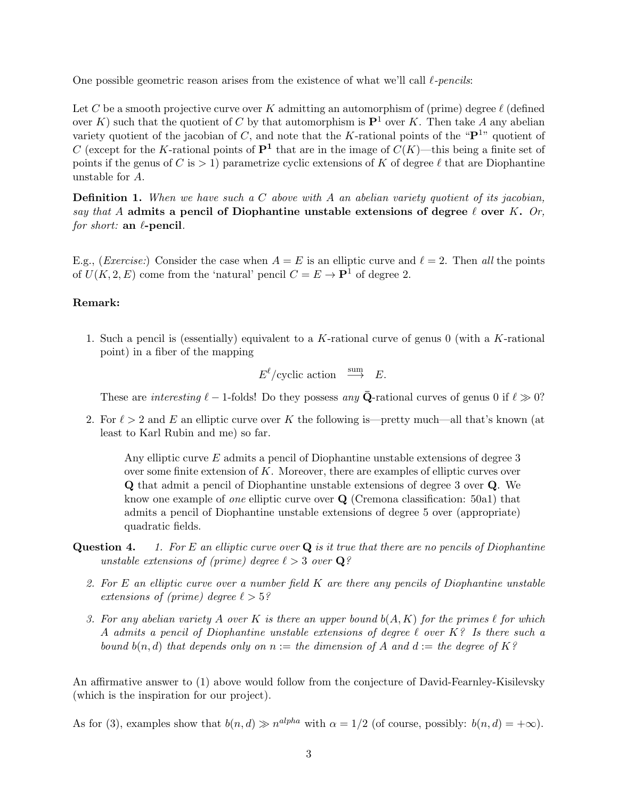One possible geometric reason arises from the existence of what we'll call  $\ell$ -pencils:

Let C be a smooth projective curve over K admitting an automorphism of (prime) degree  $\ell$  (defined over K) such that the quotient of C by that automorphism is  $\mathbf{P}^1$  over K. Then take A any abelian variety quotient of the jacobian of C, and note that the K-rational points of the " $\mathbf{P}^{1}$ " quotient of C (except for the K-rational points of  $\mathbf{P}^1$  that are in the image of  $C(K)$ —this being a finite set of points if the genus of C is  $> 1$ ) parametrize cyclic extensions of K of degree  $\ell$  that are Diophantine unstable for A.

**Definition 1.** When we have such a C above with A an abelian variety quotient of its jacobian, say that A admits a pencil of Diophantine unstable extensions of degree  $\ell$  over K. Or, for short: an  $\ell$ -pencil.

E.g., (*Exercise:*) Consider the case when  $A = E$  is an elliptic curve and  $\ell = 2$ . Then all the points of  $U(K, 2, E)$  come from the 'natural' pencil  $C = E \rightarrow P^1$  of degree 2.

#### Remark:

1. Such a pencil is (essentially) equivalent to a K-rational curve of genus  $0$  (with a K-rational point) in a fiber of the mapping

 $E^{\ell}/\text{cyclic action} \stackrel{\text{sum}}{\longrightarrow} E.$ 

These are interesting  $\ell - 1$ -folds! Do they possess any  $\bar{Q}$ -rational curves of genus 0 if  $\ell \gg 0$ ?

2. For  $\ell > 2$  and E an elliptic curve over K the following is—pretty much—all that's known (at least to Karl Rubin and me) so far.

Any elliptic curve E admits a pencil of Diophantine unstable extensions of degree 3 over some finite extension of  $K$ . Moreover, there are examples of elliptic curves over Q that admit a pencil of Diophantine unstable extensions of degree 3 over Q. We know one example of *one* elliptic curve over  $Q$  (Cremona classification: 50a1) that admits a pencil of Diophantine unstable extensions of degree 5 over (appropriate) quadratic fields.

- **Question 4.** 1. For E an elliptic curve over  $\bf{Q}$  is it true that there are no pencils of Diophantine unstable extensions of (prime) degree  $\ell > 3$  over  $\mathbf{Q}$ ?
	- 2. For  $E$  an elliptic curve over a number field  $K$  are there any pencils of Diophantine unstable extensions of (prime) degree  $\ell > 5$ ?
	- 3. For any abelian variety A over K is there an upper bound  $b(A, K)$  for the primes  $\ell$  for which A admits a pencil of Diophantine unstable extensions of degree  $\ell$  over K? Is there such a bound  $b(n, d)$  that depends only on  $n :=$  the dimension of A and  $d :=$  the degree of K?

An affirmative answer to (1) above would follow from the conjecture of David-Fearnley-Kisilevsky (which is the inspiration for our project).

As for (3), examples show that  $b(n,d) \gg n^{alpha}$  with  $\alpha = 1/2$  (of course, possibly:  $b(n,d) = +\infty$ ).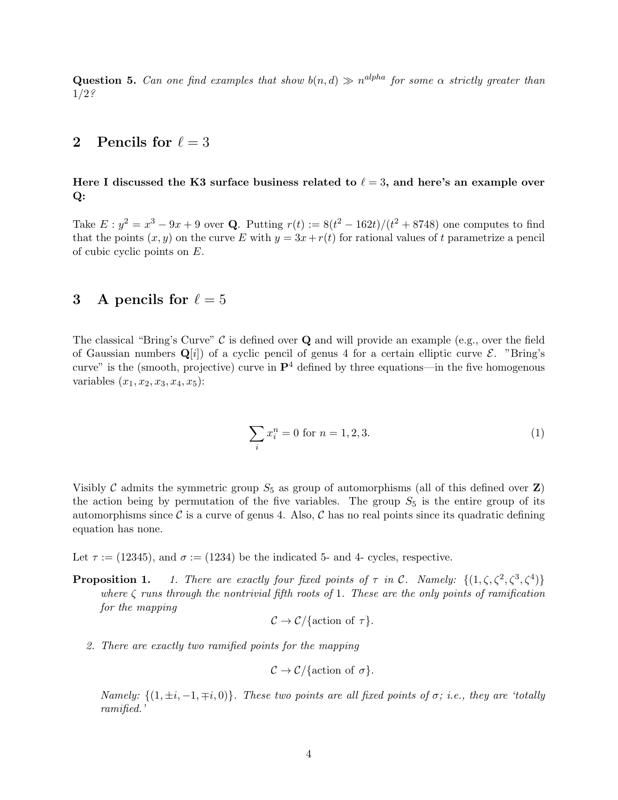**Question 5.** Can one find examples that show  $b(n,d) \gg n^{alpha}$  for some  $\alpha$  strictly greater than 1/2?

### 2 Pencils for  $\ell = 3$

#### Here I discussed the K3 surface business related to  $\ell = 3$ , and here's an example over Q:

Take  $E: y^2 = x^3 - 9x + 9$  over **Q**. Putting  $r(t) := 8(t^2 - 162t)/(t^2 + 8748)$  one computes to find that the points  $(x, y)$  on the curve E with  $y = 3x + r(t)$  for rational values of t parametrize a pencil of cubic cyclic points on E.

#### 3 A pencils for  $\ell = 5$

The classical "Bring's Curve"  $\mathcal C$  is defined over **Q** and will provide an example (e.g., over the field of Gaussian numbers  $\mathbf{Q}[i]$  of a cyclic pencil of genus 4 for a certain elliptic curve  $\mathcal{E}$ . "Bring's curve" is the (smooth, projective) curve in  $\mathbf{P}^4$  defined by three equations—in the five homogenous variables  $(x_1, x_2, x_3, x_4, x_5)$ :

<span id="page-3-0"></span>
$$
\sum_{i} x_i^n = 0 \text{ for } n = 1, 2, 3. \tag{1}
$$

Visibly C admits the symmetric group  $S_5$  as group of automorphisms (all of this defined over Z) the action being by permutation of the five variables. The group  $S_5$  is the entire group of its automorphisms since  $\mathcal C$  is a curve of genus 4. Also,  $\mathcal C$  has no real points since its quadratic defining equation has none.

Let  $\tau := (12345)$ , and  $\sigma := (1234)$  be the indicated 5- and 4- cycles, respective.

**Proposition 1.** 1. There are exactly four fixed points of  $\tau$  in C. Namely:  $\{(1,\zeta,\zeta^2,\zeta^3,\zeta^4)\}$ where  $\zeta$  runs through the nontrivial fifth roots of 1. These are the only points of ramification for the mapping

$$
\mathcal{C} \to \mathcal{C}/\{\text{action of } \tau\}.
$$

2. There are exactly two ramified points for the mapping

$$
C \to C/\{\text{action of }\sigma\}.
$$

Namely:  $\{(1, \pm i, -1, \mp i, 0)\}$ . These two points are all fixed points of  $\sigma$ ; i.e., they are 'totally ramified.'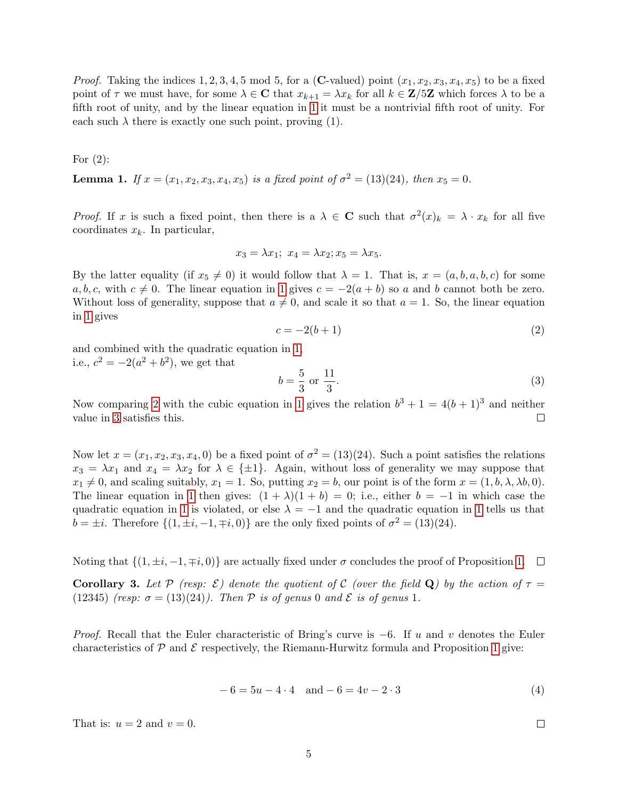*Proof.* Taking the indices 1, 2, 3, 4, 5 mod 5, for a (C-valued) point  $(x_1, x_2, x_3, x_4, x_5)$  to be a fixed point of  $\tau$  we must have, for some  $\lambda \in \mathbb{C}$  that  $x_{k+1} = \lambda x_k$  for all  $k \in \mathbb{Z}/5\mathbb{Z}$  which forces  $\lambda$  to be a fifth root of unity, and by the linear equation in [1](#page-3-0) it must be a nontrivial fifth root of unity. For each such  $\lambda$  there is exactly one such point, proving (1).

For (2):

**Lemma 1.** If  $x = (x_1, x_2, x_3, x_4, x_5)$  is a fixed point of  $\sigma^2 = (13)(24)$ , then  $x_5 = 0$ .

*Proof.* If x is such a fixed point, then there is a  $\lambda \in \mathbb{C}$  such that  $\sigma^2(x)_k = \lambda \cdot x_k$  for all five coordinates  $x_k$ . In particular,

$$
x_3 = \lambda x_1; \ x_4 = \lambda x_2; x_5 = \lambda x_5.
$$

By the latter equality (if  $x_5 \neq 0$ ) it would follow that  $\lambda = 1$ . That is,  $x = (a, b, a, b, c)$  for some a, b, c, with  $c \neq 0$ . The linear equation in [1](#page-3-0) gives  $c = -2(a + b)$  so a and b cannot both be zero. Without loss of generality, suppose that  $a \neq 0$ , and scale it so that  $a = 1$ . So, the linear equation in [1](#page-3-0) gives

<span id="page-4-0"></span>
$$
c = -2(b+1) \tag{2}
$$

and combined with the quadratic equation in [1,](#page-3-0) i.e.,  $c^2 = -2(a^2 + b^2)$ , we get that

<span id="page-4-1"></span>
$$
b = \frac{5}{3} \text{ or } \frac{11}{3}.
$$
 (3)

Now comparing [2](#page-4-0) with the cubic equation in [1](#page-3-0) gives the relation  $b^3 + 1 = 4(b+1)^3$  and neither value in [3](#page-4-1) satisfies this.  $\Box$ 

Now let  $x = (x_1, x_2, x_3, x_4, 0)$  be a fixed point of  $\sigma^2 = (13)(24)$ . Such a point satisfies the relations  $x_3 = \lambda x_1$  and  $x_4 = \lambda x_2$  for  $\lambda \in \{\pm 1\}$ . Again, without loss of generality we may suppose that  $x_1 \neq 0$ , and scaling suitably,  $x_1 = 1$ . So, putting  $x_2 = b$ , our point is of the form  $x = (1, b, \lambda, \lambda b, 0)$ . The linear equation in [1](#page-3-0) then gives:  $(1 + \lambda)(1 + b) = 0$ ; i.e., either  $b = -1$  in which case the quadratic equation in [1](#page-3-0) is violated, or else  $\lambda = -1$  and the quadratic equation in 1 tells us that  $b = \pm i$ . Therefore  $\{(1, \pm i, -1, \mp i, 0)\}\$ are the only fixed points of  $\sigma^2 = (13)(24)$ .

Noting that  $\{(1, \pm i, -1, \mp i, 0)\}\$ are actually fixed under  $\sigma$  concludes the proof of Proposition [1.](#page-0-0)  $\Box$ 

**Corollary 3.** Let P (resp:  $\mathcal{E}$ ) denote the quotient of C (over the field Q) by the action of  $\tau =$ (12345) (resp:  $\sigma = (13)(24)$ ). Then P is of genus 0 and E is of genus 1.

*Proof.* Recall that the Euler characteristic of Bring's curve is  $-6$ . If u and v denotes the Euler characteristics of  $P$  and  $E$  respectively, the Riemann-Hurwitz formula and Proposition [1](#page-0-0) give:

$$
-6 = 5u - 4 \cdot 4 \quad \text{and} \ -6 = 4v - 2 \cdot 3 \tag{4}
$$

That is:  $u = 2$  and  $v = 0$ .

 $\Box$